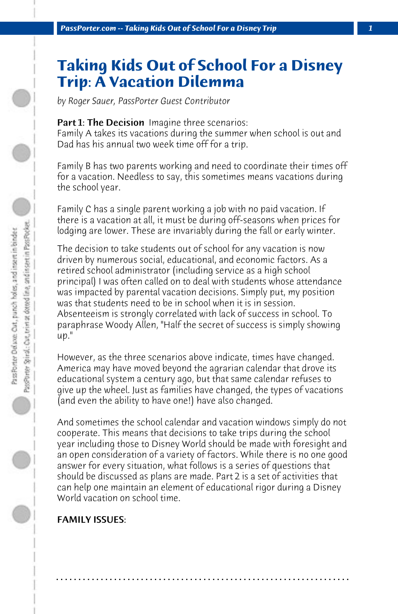# **Taking Kids Out of School For a Disney Trip: A Vacation Dilemma**

*by Roger Sauer, PassPorter Guest Contributor*

### Part 1: The Decision Imagine three scenarios:

Family A takes its vacations during the summer when school is out and Dad has his annual two week time off for a trip.

Family B has two parents working and need to coordinate their times off for a vacation. Needless to say, this sometimes means vacations during the school year.

Family C has a single parent working a job with no paid vacation. If there is a vacation at all, it must be during off-seasons when prices for lodging are lower. These are invariably during the fall or early winter.

The decision to take students out of school for any vacation is now driven by numerous social, educational, and economic factors. As a retired school administrator (including service as a high school principal) I was often called on to deal with students whose attendance was impacted by parental vacation decisions. Simply put, my position was that students need to be in school when it is in session. Absenteeism is strongly correlated with lack of success in school. To paraphrase Woody Allen, "Half the secret of success is simply showing  $\mu$ ."

However, as the three scenarios above indicate, times have changed. America may have moved beyond the agrarian calendar that drove its educational system a century ago, but that same calendar refuses to give up the wheel. Just as families have changed, the types of vacations (and even the ability to have one!) have also changed.

And sometimes the school calendar and vacation windows simply do not cooperate. This means that decisions to take trips during the school year including those to Disney World should be made with foresight and an open consideration of a variety of factors. While there is no one good answer for every situation, what follows is a series of questions that should be discussed as plans are made. Part 2 is a set of activities that can help one maintain an element of educational rigor during a Disney World vacation on school time.

**. . . . . . . . . . . . . . . . . . . . . . . . . . . . . . . . . . . . . . . . . . . . . . . . . . . . . . . . . . . . . . . . . .**

## FAMILY ISSUES: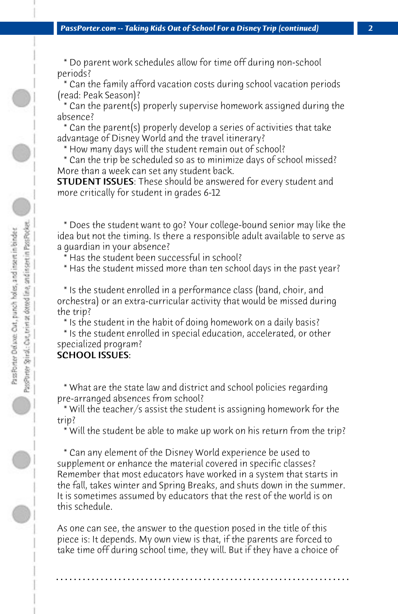\* Do parent work schedules allow for time off during non-school periods?

 \* Can the family afford vacation costs during school vacation periods (read: Peak Season)?

 \* Can the parent(s) properly supervise homework assigned during the absence?

 \* Can the parent(s) properly develop a series of activities that take advantage of Disney World and the travel itinerary?

\* How many days will the student remain out of school?

 \* Can the trip be scheduled so as to minimize days of school missed? More than a week can set any student back.

**STUDENT ISSUES:** These should be answered for every student and more critically for student in grades 6-12

 \* Does the student want to go? Your college-bound senior may like the idea but not the timing. Is there a responsible adult available to serve as a guardian in your absence?

\* Has the student been successful in school?

\* Has the student missed more than ten school days in the past year?

 \* Is the student enrolled in a performance class (band, choir, and orchestra) or an extra-curricular activity that would be missed during the trip?

\* Is the student in the habit of doing homework on a daily basis?

 \* Is the student enrolled in special education, accelerated, or other specialized program?

## SCHOOL ISSUES:

PassPorter Spiral,: Car, trim at dotted line, and insert in PassPocket. Pass Porter Delaxe: Out, panch holes, and insert in binder

 \* What are the state law and district and school policies regarding pre-arranged absences from school?

 \* Will the teacher/s assist the student is assigning homework for the trip?

\* Will the student be able to make up work on his return from the trip?

 \* Can any element of the Disney World experience be used to supplement or enhance the material covered in specific classes? Remember that most educators have worked in a system that starts in the fall, takes winter and Spring Breaks, and shuts down in the summer. It is sometimes assumed by educators that the rest of the world is on this schedule.

As one can see, the answer to the question posed in the title of this piece is: It depends. My own view is that, if the parents are forced to take time off during school time, they will. But if they have a choice of

**. . . . . . . . . . . . . . . . . . . . . . . . . . . . . . . . . . . . . . . . . . . . . . . . . . . . . . . . . . . . . . . . . .**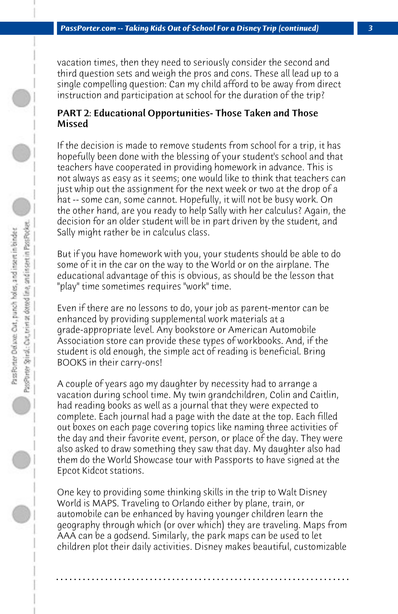vacation times, then they need to seriously consider the second and third question sets and weigh the pros and cons. These all lead up to a single compelling question: Can my child afford to be away from direct instruction and participation at school for the duration of the trip?

#### PART 2: Educational Opportunities- Those Taken and Those Missed

If the decision is made to remove students from school for a trip, it has hopefully been done with the blessing of your student's school and that teachers have cooperated in providing homework in advance. This is not always as easy as it seems; one would like to think that teachers can just whip out the assignment for the next week or two at the drop of a hat -- some can, some cannot. Hopefully, it will not be busy work. On the other hand, are you ready to help Sally with her calculus? Again, the decision for an older student will be in part driven by the student, and Sally might rather be in calculus class.

But if you have homework with you, your students should be able to do some of it in the car on the way to the World or on the airplane. The educational advantage of this is obvious, as should be the lesson that "play" time sometimes requires "work" time.

Even if there are no lessons to do, your job as parent-mentor can be enhanced by providing supplemental work materials at a grade-appropriate level. Any bookstore or American Automobile Association store can provide these types of workbooks. And, if the student is old enough, the simple act of reading is beneficial. Bring BOOKS in their carry-ons!

A couple of years ago my daughter by necessity had to arrange a vacation during school time. My twin grandchildren, Colin and Caitlin, had reading books as well as a journal that they were expected to complete. Each journal had a page with the date at the top. Each filled out boxes on each page covering topics like naming three activities of the day and their favorite event, person, or place of the day. They were also asked to draw something they saw that day. My daughter also had them do the World Showcase tour with Passports to have signed at the Epcot Kidcot stations.

One key to providing some thinking skills in the trip to Walt Disney World is MAPS. Traveling to Orlando either by plane, train, or automobile can be enhanced by having younger children learn the geography through which (or over which) they are traveling. Maps from AAA can be a godsend. Similarly, the park maps can be used to let children plot their daily activities. Disney makes beautiful, customizable

**. . . . . . . . . . . . . . . . . . . . . . . . . . . . . . . . . . . . . . . . . . . . . . . . . . . . . . . . . . . . . . . . . .**